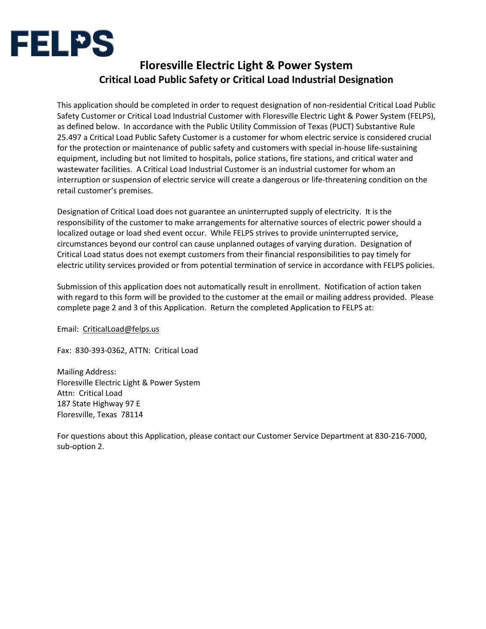

## **Floresville Electric Light & Power System Critical Load Public Safety or Critical Load Industrial Designation**

This application should be completed in order to request designation of non-residential Critical Load Public Safety Customer or Critical Load Industrial Customer with Floresville Electric Light & Power System (FELPS), as defined below. In accordance with the Public Utility Commission of Texas (PUCT) Substantive Rule 25.497 a Critical Load Public Safety Customer is a customer for whom electric service is considered crucial for the protection or maintenance of public safety and customers with special in-house life-sustaining equipment, including but not limited to hospitals, police stations, fire stations, and critical water and wastewater facilities. A Critical Load Industrial Customer is an industrial customer for whom an interruption or suspension of electric service will create a dangerous or life-threatening condition on the retail customer's premises.

Designation of Critical Load does not guarantee an uninterrupted supply of electricity. It is the responsibility of the customer to make arrangements for alternative sources of electric power should a localized outage or load shed event occur. While FELPS strives to provide uninterrupted service, circumstances beyond our control can cause unplanned outages of varying duration. Designation of Critical Load status does not exempt customers from their financial responsibilities to pay timely for electric utility services provided or from potential termination of service in accordance with FELPS policies.

Submission of this application does not automatically result in enrollment. Notification of action taken with regard to this form will be provided to the customer at the email or mailing address provided. Please complete page 2 and 3 of this Application. Return the completed Application to FELPS at:

Email: CriticalLoad@felps.us

Fax: 830-393-0362, ATTN: Critical Load

Mailing Address: Floresville Electric Light & Power System Attn: Critical Load 187 State Highway 97 E Floresville, Texas 78114

For questions about this Application, please contact our Customer Service Department at 830-216-7000, sub-option 2.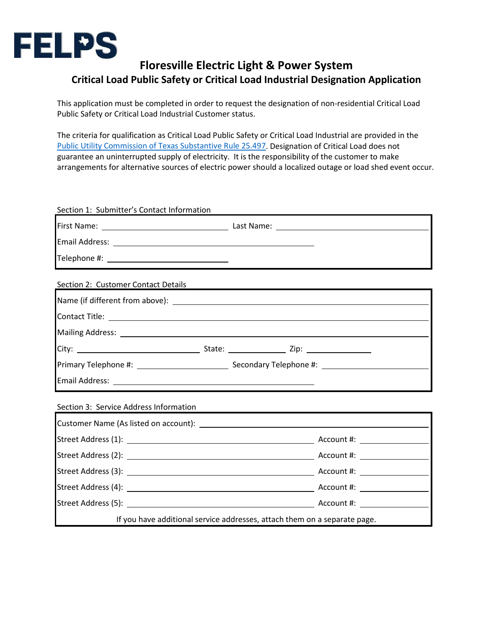

## **Floresville Electric Light & Power System Critical Load Public Safety or Critical Load Industrial Designation Application**

This application must be completed in order to request the designation of non-residential Critical Load Public Safety or Critical Load Industrial Customer status.

The criteria for qualification as Critical Load Public Safety or Critical Load Industrial are provided in the Public Utility Commission of Texas Substantive Rule 25.497. Designation of Critical Load does not guarantee an uninterrupted supply of electricity. It is the responsibility of the customer to make arrangements for alternative sources of electric power should a localized outage or load shed event occur.

| Section 1: Submitter's Contact Information                                                                      |  |  |  |  |
|-----------------------------------------------------------------------------------------------------------------|--|--|--|--|
|                                                                                                                 |  |  |  |  |
|                                                                                                                 |  |  |  |  |
|                                                                                                                 |  |  |  |  |
| Section 2: Customer Contact Details                                                                             |  |  |  |  |
|                                                                                                                 |  |  |  |  |
|                                                                                                                 |  |  |  |  |
| Mailing Address: National Address and Address and Address and Address and Address and Address and Address and A |  |  |  |  |
|                                                                                                                 |  |  |  |  |
|                                                                                                                 |  |  |  |  |
|                                                                                                                 |  |  |  |  |
| Section 3: Service Address Information                                                                          |  |  |  |  |
|                                                                                                                 |  |  |  |  |
|                                                                                                                 |  |  |  |  |
|                                                                                                                 |  |  |  |  |
|                                                                                                                 |  |  |  |  |
|                                                                                                                 |  |  |  |  |
|                                                                                                                 |  |  |  |  |
| If you have additional service addresses, attach them on a separate page.                                       |  |  |  |  |